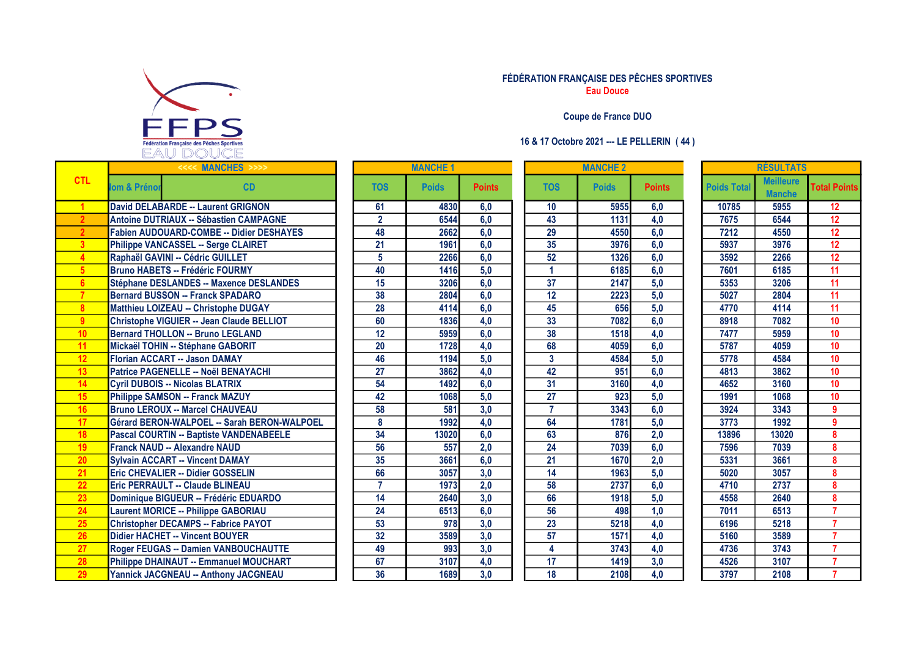

## FÉDÉRATION FRANÇAISE DES PÊCHES SPORTIVES Eau Douce

## Coupe de France DUO

## 16 & 17 Octobre 2021 --- LE PELLERIN ( 44 )

Meilleure<br>
Manche Total Points

|                 | bov Prove                                      |                 |              |                  |  |                 |                 |               |                    |                                   |                 |  |  |
|-----------------|------------------------------------------------|-----------------|--------------|------------------|--|-----------------|-----------------|---------------|--------------------|-----------------------------------|-----------------|--|--|
|                 | <<<< MANCHES >>>>                              | <b>MANCHE 1</b> |              |                  |  |                 | <b>MANCHE 2</b> |               | <b>RÉSULTATS</b>   |                                   |                 |  |  |
| <b>CTL</b>      | <b>Jom &amp; Prénoi</b><br>CD.                 | <b>TOS</b>      | <b>Poids</b> | <b>Points</b>    |  | <b>TOS</b>      | <b>Poids</b>    | <b>Points</b> | <b>Poids Total</b> | <b>Meilleure</b><br><b>Manche</b> | <b>Total Po</b> |  |  |
|                 | <b>David DELABARDE -- Laurent GRIGNON</b>      | 61              | 4830         | 6,0              |  | 10              | 5955            | 6,0           | 10785              | 5955                              | 12              |  |  |
|                 | <b>Antoine DUTRIAUX -- Sébastien CAMPAGNE</b>  | $\overline{2}$  | 6544         | 6,0              |  | 43              | 1131            | 4,0           | 7675               | 6544                              | 12              |  |  |
|                 | Fabien AUDOUARD-COMBE -- Didier DESHAYES       | 48              | 2662         | 6,0              |  | 29              | 4550            | 6,0           | 7212               | 4550                              | 12              |  |  |
|                 | <b>Philippe VANCASSEL -- Serge CLAIRET</b>     | 21              | 1961         | 6,0              |  | 35              | 3976            | 6,0           | 5937               | 3976                              | 12              |  |  |
|                 | Raphaël GAVINI -- Cédric GUILLET               | 5               | 2266         | 6,0              |  | 52              | 1326            | 6,0           | 3592               | 2266                              | 12              |  |  |
| 5               | <b>Bruno HABETS -- Frédéric FOURMY</b>         | 40              | 1416         | 5,0              |  |                 | 6185            | 6,0           | 7601               | 6185                              | 11              |  |  |
|                 | Stéphane DESLANDES -- Maxence DESLANDES        | 15              | 3206         | 6,0              |  | 37              | 2147            | 5,0           | 5353               | 3206                              | 11              |  |  |
|                 | <b>Bernard BUSSON -- Franck SPADARO</b>        | 38              | 2804         | 6,0              |  | 12              | 2223            | 5,0           | 5027               | 2804                              | 11              |  |  |
| 8               | Matthieu LOIZEAU -- Christophe DUGAY           | 28              | 4114         | 6,0              |  | 45              | 656             | 5,0           | 4770               | 4114                              | $\overline{11}$ |  |  |
| 9               | Christophe VIGUIER -- Jean Claude BELLIOT      | 60              | 1836         | 4,0              |  | 33              | 7082            | 6,0           | 8918               | 7082                              | 10              |  |  |
| 10              | <b>Bernard THOLLON -- Bruno LEGLAND</b>        | $\overline{12}$ | 5959         | 6,0              |  | 38              | 1518            | 4,0           | 7477               | 5959                              | 10              |  |  |
| 11              | Mickaël TOHIN -- Stéphane GABORIT              | 20              | 1728         | 4,0              |  | 68              | 4059            | 6,0           | 5787               | 4059                              | 10              |  |  |
| 12              | <b>Florian ACCART -- Jason DAMAY</b>           | 46              | 1194         | 5,0              |  | 3               | 4584            | 5,0           | 5778               | 4584                              | 10              |  |  |
| 13              | Patrice PAGENELLE -- Noël BENAYACHI            | 27              | 3862         | 4,0              |  | 42              | 951             | 6,0           | 4813               | 3862                              | 10              |  |  |
| 14              | <b>Cyril DUBOIS -- Nicolas BLATRIX</b>         | 54              | 1492         | 6,0              |  | 31              | 3160            | 4,0           | 4652               | 3160                              | 10              |  |  |
| 15              | <b>Philippe SAMSON -- Franck MAZUY</b>         | 42              | 1068         | 5,0              |  | 27              | 923             | 5,0           | 1991               | 1068                              | 10              |  |  |
| 16              | <b>Bruno LEROUX -- Marcel CHAUVEAU</b>         | 58              | 581          | 3,0              |  | $\overline{7}$  | 3343            | 6,0           | 3924               | 3343                              | 9               |  |  |
| 17              | Gérard BERON-WALPOEL -- Sarah BERON-WALPOEL    | 8               | 1992         | 4,0              |  | 64              | 1781            | 5,0           | 3773               | 1992                              | 9               |  |  |
| 18              | <b>Pascal COURTIN -- Baptiste VANDENABEELE</b> | 34              | 13020        | 6,0              |  | 63              | 876             | 2,0           | 13896              | 13020                             | 8               |  |  |
| 19              | Franck NAUD -- Alexandre NAUD                  | 56              | 557          | 2,0              |  | 24              | 7039            | 6,0           | 7596               | 7039                              | 8               |  |  |
| 20              | <b>Sylvain ACCART -- Vincent DAMAY</b>         | 35              | 3661         | 6,0              |  | $\overline{21}$ | 1670            | 2,0           | 5331               | 3661                              | 8               |  |  |
| 21              | <b>Eric CHEVALIER -- Didier GOSSELIN</b>       | 66              | 3057         | 3,0              |  | 14              | 1963            | 5,0           | 5020               | 3057                              | 8               |  |  |
| 22              | <b>Eric PERRAULT -- Claude BLINEAU</b>         | $\overline{7}$  | 1973         | 2,0              |  | 58              | 2737            | 6,0           | 4710               | 2737                              | 8               |  |  |
| 23              | Dominique BIGUEUR -- Frédéric EDUARDO          | 14              | 2640         | $\overline{3,0}$ |  | 66              | 1918            | 5,0           | 4558               | 2640                              | 8               |  |  |
| $\overline{24}$ | <b>Laurent MORICE -- Philippe GABORIAU</b>     | 24              | 6513         | 6,0              |  | 56              | 498             | 1,0           | 7011               | 6513                              | $\overline{7}$  |  |  |
| 25              | <b>Christopher DECAMPS -- Fabrice PAYOT</b>    | 53              | 978          | 3,0              |  | 23              | 5218            | 4,0           | 6196               | 5218                              | $\overline{7}$  |  |  |
| 26              | Didier HACHET -- Vincent BOUYER                | 32              | 3589         | 3,0              |  | 57              | 1571            | 4,0           | 5160               | 3589                              | $\mathbf{7}$    |  |  |
| 27              | Roger FEUGAS -- Damien VANBOUCHAUTTE           | 49              | 993          | 3,0              |  | 4               | 3743            | 4,0           | 4736               | 3743                              | $\overline{7}$  |  |  |
| 28              | Philippe DHAINAUT -- Emmanuel MOUCHART         | 67              | 3107         | 4,0              |  | $\overline{17}$ | 1419            | 3,0           | 4526               | 3107                              | $\mathbf{7}$    |  |  |
| 29              | Yannick JACGNEAU -- Anthony JACGNEAU           | 36              | 1689         | 3,0              |  | 18              | 2108            | 4,0           | 3797               | 2108                              | $\overline{7}$  |  |  |